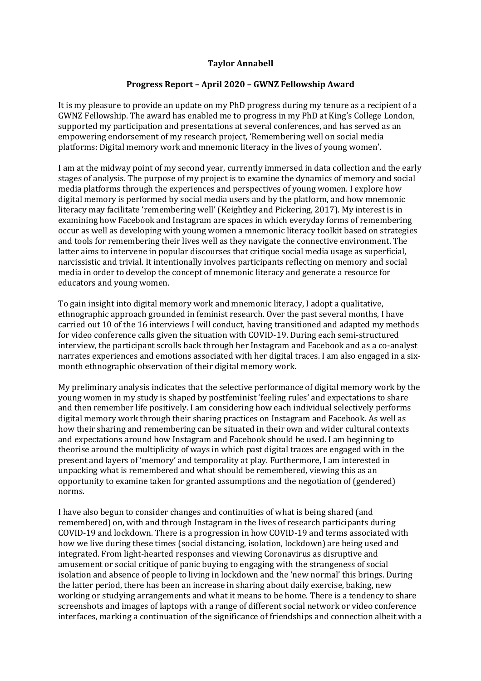## **Taylor Annabell**

## **Progress Report – April 2020 – GWNZ Fellowship Award**

It is my pleasure to provide an update on my PhD progress during my tenure as a recipient of a GWNZ Fellowship. The award has enabled me to progress in my PhD at King's College London, supported my participation and presentations at several conferences, and has served as an empowering endorsement of my research project, 'Remembering well on social media platforms: Digital memory work and mnemonic literacy in the lives of young women'.

I am at the midway point of my second year, currently immersed in data collection and the early stages of analysis. The purpose of my project is to examine the dynamics of memory and social media platforms through the experiences and perspectives of young women. I explore how digital memory is performed by social media users and by the platform, and how mnemonic literacy may facilitate 'remembering well' (Keightley and Pickering, 2017). My interest is in examining how Facebook and Instagram are spaces in which everyday forms of remembering occur as well as developing with young women a mnemonic literacy toolkit based on strategies and tools for remembering their lives well as they navigate the connective environment. The latter aims to intervene in popular discourses that critique social media usage as superficial, narcissistic and trivial. It intentionally involves participants reflecting on memory and social media in order to develop the concept of mnemonic literacy and generate a resource for educators and young women.

To gain insight into digital memory work and mnemonic literacy, I adopt a qualitative, ethnographic approach grounded in feminist research. Over the past several months, I have carried out 10 of the 16 interviews I will conduct, having transitioned and adapted my methods for video conference calls given the situation with COVID-19. During each semi-structured interview, the participant scrolls back through her Instagram and Facebook and as a co-analyst narrates experiences and emotions associated with her digital traces. I am also engaged in a sixmonth ethnographic observation of their digital memory work.

My preliminary analysis indicates that the selective performance of digital memory work by the young women in my study is shaped by postfeminist 'feeling rules' and expectations to share and then remember life positively. I am considering how each individual selectively performs digital memory work through their sharing practices on Instagram and Facebook. As well as how their sharing and remembering can be situated in their own and wider cultural contexts and expectations around how Instagram and Facebook should be used. I am beginning to theorise around the multiplicity of ways in which past digital traces are engaged with in the present and layers of 'memory' and temporality at play. Furthermore, I am interested in unpacking what is remembered and what should be remembered, viewing this as an opportunity to examine taken for granted assumptions and the negotiation of (gendered) norms.

I have also begun to consider changes and continuities of what is being shared (and remembered) on, with and through Instagram in the lives of research participants during COVID-19 and lockdown. There is a progression in how COVID-19 and terms associated with how we live during these times (social distancing, isolation, lockdown) are being used and integrated. From light-hearted responses and viewing Coronavirus as disruptive and amusement or social critique of panic buying to engaging with the strangeness of social isolation and absence of people to living in lockdown and the 'new normal' this brings. During the latter period, there has been an increase in sharing about daily exercise, baking, new working or studying arrangements and what it means to be home. There is a tendency to share screenshots and images of laptops with a range of different social network or video conference interfaces, marking a continuation of the significance of friendships and connection albeit with a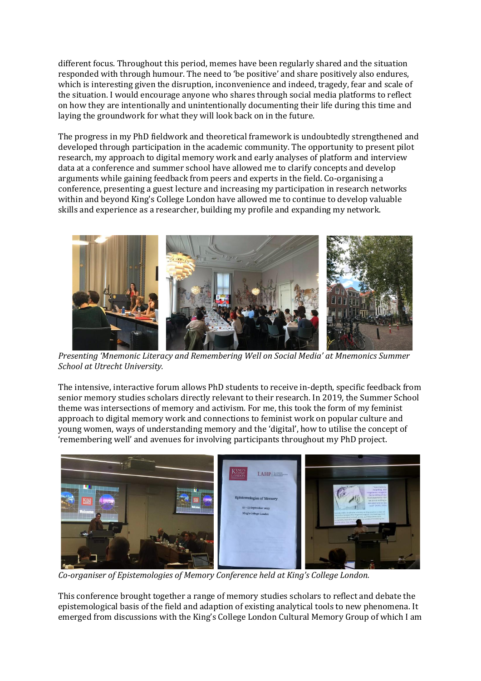different focus. Throughout this period, memes have been regularly shared and the situation responded with through humour. The need to 'be positive' and share positively also endures, which is interesting given the disruption, inconvenience and indeed, tragedy, fear and scale of the situation. I would encourage anyone who shares through social media platforms to reflect on how they are intentionally and unintentionally documenting their life during this time and laying the groundwork for what they will look back on in the future.

The progress in my PhD fieldwork and theoretical framework is undoubtedly strengthened and developed through participation in the academic community. The opportunity to present pilot research, my approach to digital memory work and early analyses of platform and interview data at a conference and summer school have allowed me to clarify concepts and develop arguments while gaining feedback from peers and experts in the field. Co-organising a conference, presenting a guest lecture and increasing my participation in research networks within and beyond King's College London have allowed me to continue to develop valuable skills and experience as a researcher, building my profile and expanding my network.



*Presenting 'Mnemonic Literacy and Remembering Well on Social Media' at Mnemonics Summer School at Utrecht University.* 

The intensive, interactive forum allows PhD students to receive in-depth, specific feedback from senior memory studies scholars directly relevant to their research. In 2019, the Summer School theme was intersections of memory and activism. For me, this took the form of my feminist approach to digital memory work and connections to feminist work on popular culture and young women, ways of understanding memory and the 'digital', how to utilise the concept of 'remembering well' and avenues for involving participants throughout my PhD project.



*Co-organiser of Epistemologies of Memory Conference held at King's College London.* 

This conference brought together a range of memory studies scholars to reflect and debate the epistemological basis of the field and adaption of existing analytical tools to new phenomena. It emerged from discussions with the King's College London Cultural Memory Group of which I am